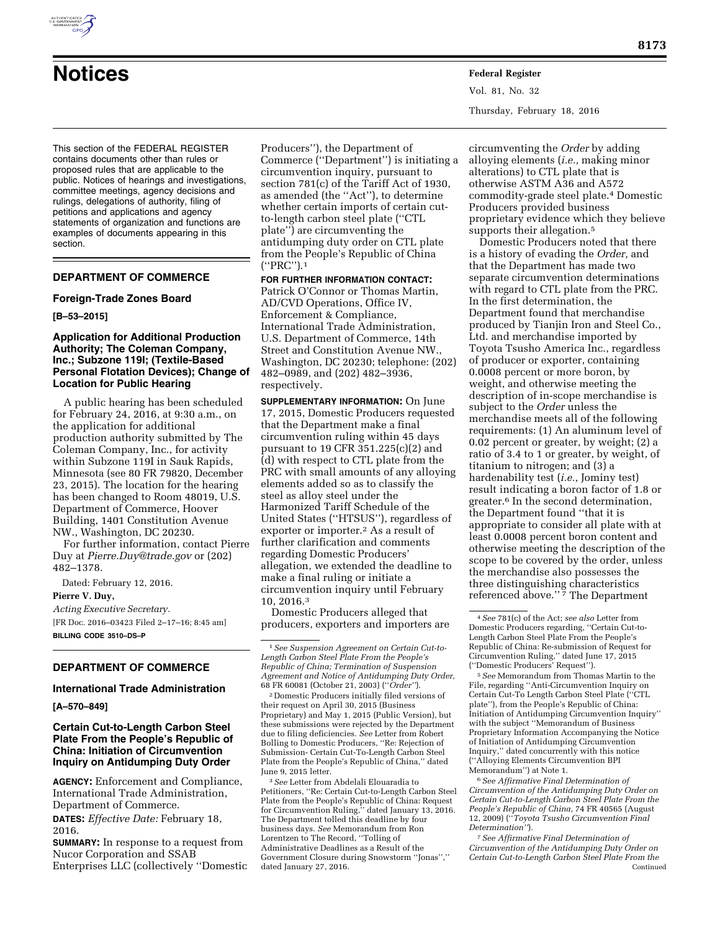

# **Notices Federal Register**

Vol. 81, No. 32 Thursday, February 18, 2016

This section of the FEDERAL REGISTER contains documents other than rules or proposed rules that are applicable to the public. Notices of hearings and investigations, committee meetings, agency decisions and rulings, delegations of authority, filing of petitions and applications and agency statements of organization and functions are examples of documents appearing in this section.

# **DEPARTMENT OF COMMERCE**

#### **Foreign-Trade Zones Board**

#### **[B–53–2015]**

## **Application for Additional Production Authority; The Coleman Company, Inc.; Subzone 119I; (Textile-Based Personal Flotation Devices); Change of Location for Public Hearing**

A public hearing has been scheduled for February 24, 2016, at 9:30 a.m., on the application for additional production authority submitted by The Coleman Company, Inc., for activity within Subzone 119I in Sauk Rapids, Minnesota (see 80 FR 79820, December 23, 2015). The location for the hearing has been changed to Room 48019, U.S. Department of Commerce, Hoover Building, 1401 Constitution Avenue NW., Washington, DC 20230.

For further information, contact Pierre Duy at *[Pierre.Duy@trade.gov](mailto:Pierre.Duy@trade.gov)* or (202) 482–1378.

Dated: February 12, 2016.

**Pierre V. Duy,** 

*Acting Executive Secretary.*  [FR Doc. 2016–03423 Filed 2–17–16; 8:45 am] **BILLING CODE 3510–DS–P** 

# **DEPARTMENT OF COMMERCE**

# **International Trade Administration**

**[A–570–849]** 

# **Certain Cut-to-Length Carbon Steel Plate From the People's Republic of China: Initiation of Circumvention Inquiry on Antidumping Duty Order**

**AGENCY:** Enforcement and Compliance, International Trade Administration, Department of Commerce.

**DATES:** *Effective Date:* February 18, 2016.

**SUMMARY:** In response to a request from Nucor Corporation and SSAB Enterprises LLC (collectively ''Domestic Producers''), the Department of Commerce (''Department'') is initiating a circumvention inquiry, pursuant to section 781(c) of the Tariff Act of 1930, as amended (the ''Act''), to determine whether certain imports of certain cutto-length carbon steel plate (''CTL plate'') are circumventing the antidumping duty order on CTL plate from the People's Republic of China (''PRC'').1

**FOR FURTHER INFORMATION CONTACT:**  Patrick O'Connor or Thomas Martin, AD/CVD Operations, Office IV, Enforcement & Compliance, International Trade Administration, U.S. Department of Commerce, 14th Street and Constitution Avenue NW., Washington, DC 20230; telephone: (202) 482–0989, and (202) 482–3936, respectively.

**SUPPLEMENTARY INFORMATION:** On June 17, 2015, Domestic Producers requested that the Department make a final circumvention ruling within 45 days pursuant to 19 CFR 351.225(c)(2) and (d) with respect to CTL plate from the PRC with small amounts of any alloying elements added so as to classify the steel as alloy steel under the Harmonized Tariff Schedule of the United States (''HTSUS''), regardless of exporter or importer.<sup>2</sup> As a result of further clarification and comments regarding Domestic Producers' allegation, we extended the deadline to make a final ruling or initiate a circumvention inquiry until February 10, 2016.3

Domestic Producers alleged that producers, exporters and importers are

2 Domestic Producers initially filed versions of their request on April 30, 2015 (Business Proprietary) and May 1, 2015 (Public Version), but these submissions were rejected by the Department due to filing deficiencies. *See* Letter from Robert Bolling to Domestic Producers, ''Re: Rejection of Submission- Certain Cut-To-Length Carbon Steel Plate from the People's Republic of China,'' dated June 9, 2015 letter.

3*See* Letter from Abdelali Elouaradia to Petitioners, ''Re: Certain Cut-to-Length Carbon Steel Plate from the People's Republic of China: Request for Circumvention Ruling,'' dated January 13, 2016. The Department tolled this deadline by four business days. *See* Memorandum from Ron Lorentzen to The Record, ''Tolling of Administrative Deadlines as a Result of the Government Closure during Snowstorm ''Jonas'','' dated January 27, 2016.

circumventing the *Order* by adding alloying elements (*i.e.,* making minor alterations) to CTL plate that is otherwise ASTM A36 and A572 commodity-grade steel plate.4 Domestic Producers provided business proprietary evidence which they believe supports their allegation.<sup>5</sup>

Domestic Producers noted that there is a history of evading the *Order,* and that the Department has made two separate circumvention determinations with regard to CTL plate from the PRC. In the first determination, the Department found that merchandise produced by Tianjin Iron and Steel Co., Ltd. and merchandise imported by Toyota Tsusho America Inc., regardless of producer or exporter, containing 0.0008 percent or more boron, by weight, and otherwise meeting the description of in-scope merchandise is subject to the *Order* unless the merchandise meets all of the following requirements: (1) An aluminum level of 0.02 percent or greater, by weight; (2) a ratio of 3.4 to 1 or greater, by weight, of titanium to nitrogen; and (3) a hardenability test (*i.e.,* Jominy test) result indicating a boron factor of 1.8 or greater.6 In the second determination, the Department found ''that it is appropriate to consider all plate with at least 0.0008 percent boron content and otherwise meeting the description of the scope to be covered by the order, unless the merchandise also possesses the three distinguishing characteristics referenced above."<sup>7</sup> The Department

5*See* Memorandum from Thomas Martin to the File, regarding ''Anti-Circumvention Inquiry on Certain Cut-To Length Carbon Steel Plate (''CTL plate''), from the People's Republic of China: Initiation of Antidumping Circumvention Inquiry'' with the subject ''Memorandum of Business Proprietary Information Accompanying the Notice of Initiation of Antidumping Circumvention Inquiry,'' dated concurrently with this notice (''Alloying Elements Circumvention BPI Memorandum'') at Note 1.

6*See Affirmative Final Determination of Circumvention of the Antidumping Duty Order on Certain Cut-to-Length Carbon Steel Plate From the People's Republic of China,* 74 FR 40565 (August 12, 2009) (''*Toyota Tsusho Circumvention Final Determination''*).

7*See Affirmative Final Determination of Circumvention of the Antidumping Duty Order on Certain Cut-to-Length Carbon Steel Plate From the*  Continued

<sup>1</sup>*See Suspension Agreement on Certain Cut-to-Length Carbon Steel Plate From the People's Republic of China; Termination of Suspension Agreement and Notice of Antidumping Duty Order,*  68 FR 60081 (October 21, 2003) (''*Order''*).

<sup>4</sup>*See* 781(c) of the Act; *see also* Letter from Domestic Producers regarding, ''Certain Cut-to-Length Carbon Steel Plate From the People's Republic of China: Re-submission of Request for Circumvention Ruling,'' dated June 17, 2015 (''Domestic Producers' Request'').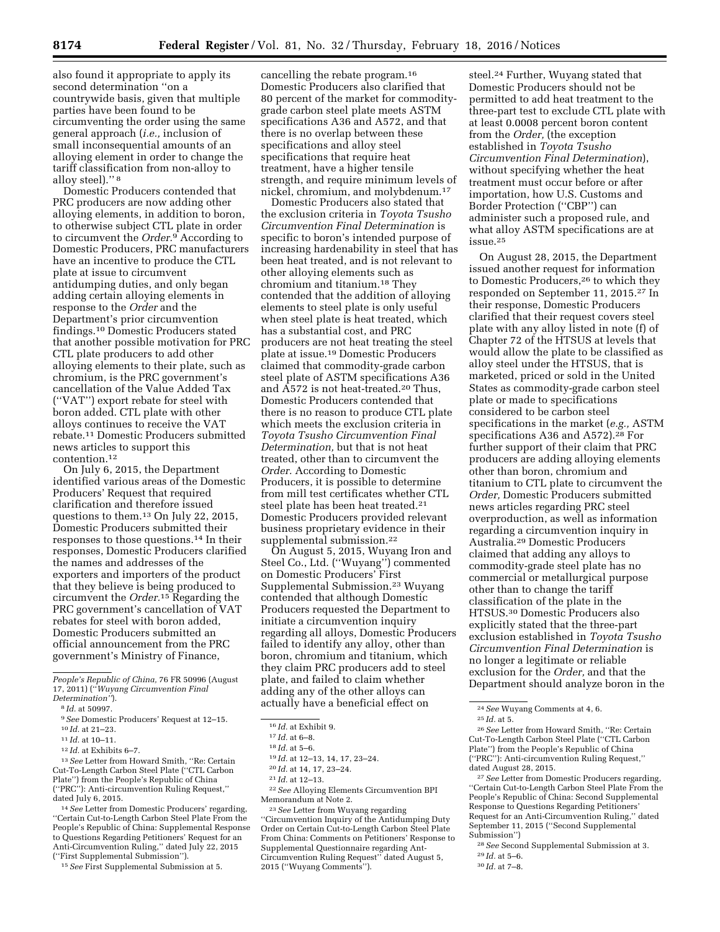also found it appropriate to apply its second determination ''on a countrywide basis, given that multiple parties have been found to be circumventing the order using the same general approach (*i.e.,* inclusion of small inconsequential amounts of an alloying element in order to change the tariff classification from non-alloy to alloy steel).'' 8

Domestic Producers contended that PRC producers are now adding other alloying elements, in addition to boron, to otherwise subject CTL plate in order to circumvent the *Order.*9 According to Domestic Producers, PRC manufacturers have an incentive to produce the CTL plate at issue to circumvent antidumping duties, and only began adding certain alloying elements in response to the *Order* and the Department's prior circumvention findings.10 Domestic Producers stated that another possible motivation for PRC CTL plate producers to add other alloying elements to their plate, such as chromium, is the PRC government's cancellation of the Value Added Tax (''VAT'') export rebate for steel with boron added. CTL plate with other alloys continues to receive the VAT rebate.11 Domestic Producers submitted news articles to support this contention.12

On July 6, 2015, the Department identified various areas of the Domestic Producers' Request that required clarification and therefore issued questions to them.13 On July 22, 2015, Domestic Producers submitted their responses to those questions.14 In their responses, Domestic Producers clarified the names and addresses of the exporters and importers of the product that they believe is being produced to circumvent the *Order.*15 Regarding the PRC government's cancellation of VAT rebates for steel with boron added, Domestic Producers submitted an official announcement from the PRC government's Ministry of Finance,

13*See* Letter from Howard Smith, ''Re: Certain Cut-To-Length Carbon Steel Plate (''CTL Carbon Plate'') from the People's Republic of China (''PRC''): Anti-circumvention Ruling Request,'' dated July 6, 2015.

14*See* Letter from Domestic Producers' regarding, ''Certain Cut-to-Length Carbon Steel Plate From the People's Republic of China: Supplemental Response to Questions Regarding Petitioners' Request for an Anti-Circumvention Ruling,'' dated July 22, 2015 (''First Supplemental Submission'').

15*See* First Supplemental Submission at 5.

Domestic Producers also stated that the exclusion criteria in *Toyota Tsusho Circumvention Final Determination* is specific to boron's intended purpose of increasing hardenability in steel that has been heat treated, and is not relevant to other alloying elements such as chromium and titanium.18 They contended that the addition of alloying elements to steel plate is only useful when steel plate is heat treated, which has a substantial cost, and PRC producers are not heat treating the steel plate at issue.19 Domestic Producers claimed that commodity-grade carbon steel plate of ASTM specifications A36 and A572 is not heat-treated.20 Thus, Domestic Producers contended that there is no reason to produce CTL plate which meets the exclusion criteria in *Toyota Tsusho Circumvention Final Determination,* but that is not heat treated, other than to circumvent the *Order.* According to Domestic Producers, it is possible to determine from mill test certificates whether CTL steel plate has been heat treated.<sup>21</sup> Domestic Producers provided relevant business proprietary evidence in their supplemental submission.<sup>22</sup>

On August 5, 2015, Wuyang Iron and Steel Co., Ltd. (''Wuyang'') commented on Domestic Producers' First Supplemental Submission.23 Wuyang contended that although Domestic Producers requested the Department to initiate a circumvention inquiry regarding all alloys, Domestic Producers failed to identify any alloy, other than boron, chromium and titanium, which they claim PRC producers add to steel plate, and failed to claim whether adding any of the other alloys can actually have a beneficial effect on

22*See* Alloying Elements Circumvention BPI Memorandum at Note 2.

23*See* Letter from Wuyang regarding ''Circumvention Inquiry of the Antidumping Duty Order on Certain Cut-to-Length Carbon Steel Plate From China: Comments on Petitioners' Response to Supplemental Questionnaire regarding Ant-Circumvention Ruling Request'' dated August 5, 2015 (''Wuyang Comments'').

steel.24 Further, Wuyang stated that Domestic Producers should not be permitted to add heat treatment to the three-part test to exclude CTL plate with at least 0.0008 percent boron content from the *Order,* (the exception established in *Toyota Tsusho Circumvention Final Determination*), without specifying whether the heat treatment must occur before or after importation, how U.S. Customs and Border Protection (''CBP'') can administer such a proposed rule, and what alloy ASTM specifications are at issue.25

On August 28, 2015, the Department issued another request for information to Domestic Producers,26 to which they responded on September 11, 2015.27 In their response, Domestic Producers clarified that their request covers steel plate with any alloy listed in note (f) of Chapter 72 of the HTSUS at levels that would allow the plate to be classified as alloy steel under the HTSUS, that is marketed, priced or sold in the United States as commodity-grade carbon steel plate or made to specifications considered to be carbon steel specifications in the market (*e.g.,* ASTM specifications A36 and A572).28 For further support of their claim that PRC producers are adding alloying elements other than boron, chromium and titanium to CTL plate to circumvent the *Order,* Domestic Producers submitted news articles regarding PRC steel overproduction, as well as information regarding a circumvention inquiry in Australia.29 Domestic Producers claimed that adding any alloys to commodity-grade steel plate has no commercial or metallurgical purpose other than to change the tariff classification of the plate in the HTSUS.30 Domestic Producers also explicitly stated that the three-part exclusion established in *Toyota Tsusho Circumvention Final Determination* is no longer a legitimate or reliable exclusion for the *Order,* and that the Department should analyze boron in the

27*See* Letter from Domestic Producers regarding, ''Certain Cut-to-Length Carbon Steel Plate From the People's Republic of China: Second Supplemental Response to Questions Regarding Petitioners' Request for an Anti-Circumvention Ruling,'' dated September 11, 2015 (''Second Supplemental Submission'')

28*See* Second Supplemental Submission at 3.

29 *Id.* at 5–6.

30 *Id.* at 7–8.

*People's Republic of China,* 76 FR 50996 (August 17, 2011) (''*Wuyang Circumvention Final Determination''*).

<sup>8</sup> *Id.* at 50997.

<sup>9</sup>*See* Domestic Producers' Request at 12–15.

<sup>10</sup> *Id.* at 21–23.

<sup>11</sup> *Id.* at 10–11.

<sup>12</sup> *Id.* at Exhibits 6–7.

cancelling the rebate program.16 Domestic Producers also clarified that 80 percent of the market for commoditygrade carbon steel plate meets ASTM specifications A36 and A572, and that there is no overlap between these specifications and alloy steel specifications that require heat treatment, have a higher tensile strength, and require minimum levels of nickel, chromium, and molybdenum.17

<sup>16</sup> *Id.* at Exhibit 9.

<sup>17</sup> *Id.* at 6–8.

<sup>18</sup> *Id.* at 5–6.

<sup>19</sup> *Id.* at 12–13, 14, 17, 23–24.

<sup>20</sup> *Id.* at 14, 17, 23–24.

<sup>21</sup> *Id.* at 12–13.

<sup>24</sup>*See* Wuyang Comments at 4, 6.

<sup>25</sup> *Id.* at 5.

<sup>26</sup>*See* Letter from Howard Smith, ''Re: Certain Cut-To-Length Carbon Steel Plate (''CTL Carbon Plate'') from the People's Republic of China (''PRC''): Anti-circumvention Ruling Request,'' dated August 28, 2015.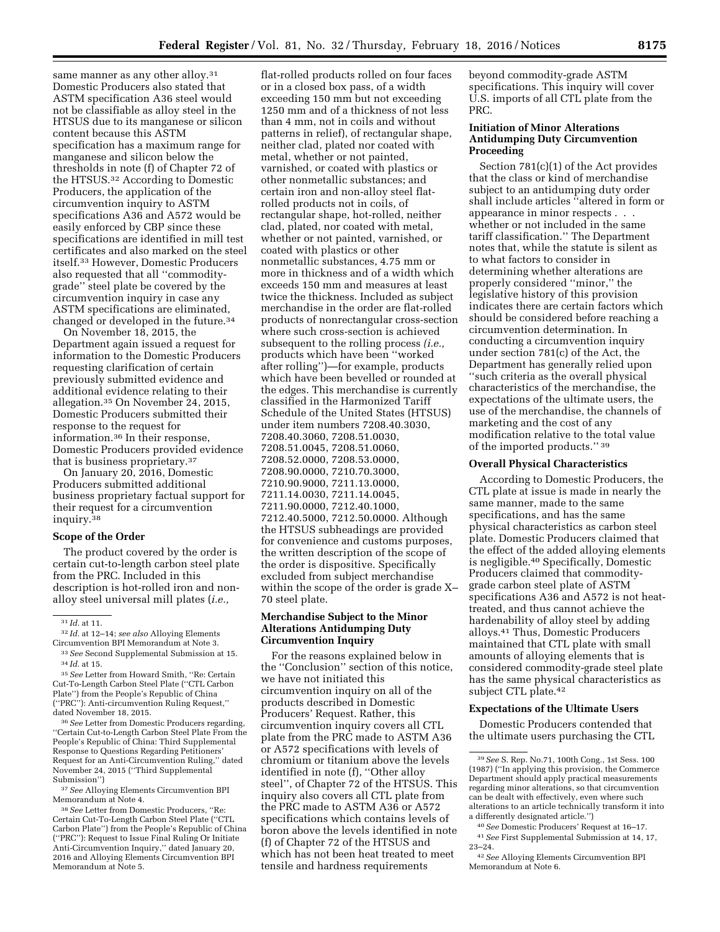same manner as any other alloy.<sup>31</sup> Domestic Producers also stated that ASTM specification A36 steel would not be classifiable as alloy steel in the HTSUS due to its manganese or silicon content because this ASTM specification has a maximum range for manganese and silicon below the thresholds in note (f) of Chapter 72 of the HTSUS.32 According to Domestic Producers, the application of the circumvention inquiry to ASTM specifications A36 and A572 would be easily enforced by CBP since these specifications are identified in mill test certificates and also marked on the steel itself.33 However, Domestic Producers also requested that all ''commoditygrade'' steel plate be covered by the circumvention inquiry in case any ASTM specifications are eliminated, changed or developed in the future.34

On November 18, 2015, the Department again issued a request for information to the Domestic Producers requesting clarification of certain previously submitted evidence and additional evidence relating to their allegation.35 On November 24, 2015, Domestic Producers submitted their response to the request for information.36 In their response, Domestic Producers provided evidence that is business proprietary.37

On January 20, 2016, Domestic Producers submitted additional business proprietary factual support for their request for a circumvention inquiry.38

#### **Scope of the Order**

The product covered by the order is certain cut-to-length carbon steel plate from the PRC. Included in this description is hot-rolled iron and nonalloy steel universal mill plates (*i.e.,* 

36*See* Letter from Domestic Producers regarding, ''Certain Cut-to-Length Carbon Steel Plate From the People's Republic of China: Third Supplemental Response to Questions Regarding Petitioners' Request for an Anti-Circumvention Ruling,'' dated November 24, 2015 (''Third Supplemental Submission'')

37*See* Alloying Elements Circumvention BPI Memorandum at Note 4.

38*See* Letter from Domestic Producers, ''Re: Certain Cut-To-Length Carbon Steel Plate (''CTL Carbon Plate'') from the People's Republic of China (''PRC''): Request to Issue Final Ruling Or Initiate Anti-Circumvention Inquiry,'' dated January 20, 2016 and Alloying Elements Circumvention BPI Memorandum at Note 5.

flat-rolled products rolled on four faces or in a closed box pass, of a width exceeding 150 mm but not exceeding 1250 mm and of a thickness of not less than 4 mm, not in coils and without patterns in relief), of rectangular shape, neither clad, plated nor coated with metal, whether or not painted, varnished, or coated with plastics or other nonmetallic substances; and certain iron and non-alloy steel flatrolled products not in coils, of rectangular shape, hot-rolled, neither clad, plated, nor coated with metal, whether or not painted, varnished, or coated with plastics or other nonmetallic substances, 4.75 mm or more in thickness and of a width which exceeds 150 mm and measures at least twice the thickness. Included as subject merchandise in the order are flat-rolled products of nonrectangular cross-section where such cross-section is achieved subsequent to the rolling process *(i.e.,*  products which have been ''worked after rolling'')—for example, products which have been bevelled or rounded at the edges. This merchandise is currently classified in the Harmonized Tariff Schedule of the United States (HTSUS) under item numbers 7208.40.3030, 7208.40.3060, 7208.51.0030, 7208.51.0045, 7208.51.0060, 7208.52.0000, 7208.53.0000, 7208.90.0000, 7210.70.3000, 7210.90.9000, 7211.13.0000, 7211.14.0030, 7211.14.0045, 7211.90.0000, 7212.40.1000, 7212.40.5000, 7212.50.0000. Although the HTSUS subheadings are provided for convenience and customs purposes, the written description of the scope of the order is dispositive. Specifically excluded from subject merchandise within the scope of the order is grade X– 70 steel plate.

#### **Merchandise Subject to the Minor Alterations Antidumping Duty Circumvention Inquiry**

For the reasons explained below in the ''Conclusion'' section of this notice, we have not initiated this circumvention inquiry on all of the products described in Domestic Producers' Request. Rather, this circumvention inquiry covers all CTL plate from the PRC made to ASTM A36 or A572 specifications with levels of chromium or titanium above the levels identified in note (f), ''Other alloy steel'', of Chapter 72 of the HTSUS. This inquiry also covers all CTL plate from the PRC made to ASTM A36 or A572 specifications which contains levels of boron above the levels identified in note (f) of Chapter 72 of the HTSUS and which has not been heat treated to meet tensile and hardness requirements

beyond commodity-grade ASTM specifications. This inquiry will cover U.S. imports of all CTL plate from the PRC.

# **Initiation of Minor Alterations Antidumping Duty Circumvention Proceeding**

Section 781(c)(1) of the Act provides that the class or kind of merchandise subject to an antidumping duty order shall include articles ''altered in form or appearance in minor respects . . . whether or not included in the same tariff classification.'' The Department notes that, while the statute is silent as to what factors to consider in determining whether alterations are properly considered ''minor,'' the legislative history of this provision indicates there are certain factors which should be considered before reaching a circumvention determination. In conducting a circumvention inquiry under section 781(c) of the Act, the Department has generally relied upon ''such criteria as the overall physical characteristics of the merchandise, the expectations of the ultimate users, the use of the merchandise, the channels of marketing and the cost of any modification relative to the total value of the imported products.'' 39

## **Overall Physical Characteristics**

According to Domestic Producers, the CTL plate at issue is made in nearly the same manner, made to the same specifications, and has the same physical characteristics as carbon steel plate. Domestic Producers claimed that the effect of the added alloying elements is negligible.40 Specifically, Domestic Producers claimed that commoditygrade carbon steel plate of ASTM specifications A36 and A572 is not heattreated, and thus cannot achieve the hardenability of alloy steel by adding alloys.41 Thus, Domestic Producers maintained that CTL plate with small amounts of alloying elements that is considered commodity-grade steel plate has the same physical characteristics as subject CTL plate.<sup>42</sup>

#### **Expectations of the Ultimate Users**

Domestic Producers contended that the ultimate users purchasing the CTL

<sup>31</sup> *Id.* at 11.

<sup>32</sup> *Id.* at 12–14; *see also* Alloying Elements Circumvention BPI Memorandum at Note 3.

<sup>33</sup>*See* Second Supplemental Submission at 15. 34 *Id.* at 15.

<sup>35</sup>*See* Letter from Howard Smith, ''Re: Certain Cut-To-Length Carbon Steel Plate (''CTL Carbon Plate'') from the People's Republic of China (''PRC''): Anti-circumvention Ruling Request,'' dated November 18, 2015.

<sup>39</sup>*See* S. Rep. No.71, 100th Cong., 1st Sess. 100 (1987) (''In applying this provision, the Commerce Department should apply practical measurements regarding minor alterations, so that circumvention can be dealt with effectively, even where such alterations to an article technically transform it into a differently designated article.'')

<sup>40</sup>*See* Domestic Producers' Request at 16–17. 41*See* First Supplemental Submission at 14, 17, 23–24.

<sup>42</sup>*See* Alloying Elements Circumvention BPI Memorandum at Note 6.